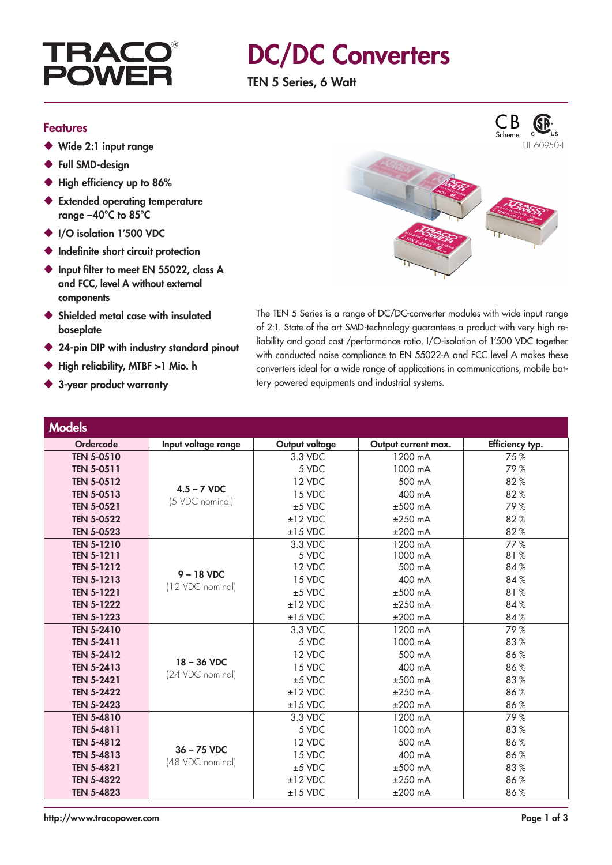

### DC/DC Converters

TEN 5 Series, 6 Watt

#### Features

- ◆ Wide 2:1 input range
- ◆ Full SMD-design
- ◆ High efficiency up to 86%
- ◆ Extended operating temperature range –40°C to 85°C
- ◆ I/O isolation 1'500 VDC
- ◆ Indefinite short circuit protection
- ◆ Input filter to meet EN 55022, class A and FCC, level A without external components
- ◆ Shielded metal case with insulated baseplate
- 24-pin DIP with industry standard pinout
- High reliability, MTBF >1 Mio. h
- ◆ 3-year product warranty



The TEN 5 Series is a range of DC/DC-converter modules with wide input range of 2:1. State of the art SMD-technology guarantees a product with very high reliability and good cost /performance ratio. I/O-isolation of 1'500 VDC together with conducted noise compliance to EN 55022-A and FCC level A makes these converters ideal for a wide range of applications in communications, mobile battery powered equipments and industrial systems.

| <b>Models</b>     |                                   |                |                     |                 |
|-------------------|-----------------------------------|----------------|---------------------|-----------------|
| Ordercode         | Input voltage range               | Output voltage | Output current max. | Efficiency typ. |
| <b>TEN 5-0510</b> | $4.5 - 7$ VDC<br>(5 VDC nominal)  | 3.3 VDC        | 1200 mA             | 75%             |
| <b>TEN 5-0511</b> |                                   | 5 VDC          | 1000 mA             | 79%             |
| <b>TEN 5-0512</b> |                                   | 12 VDC         | 500 mA              | 82%             |
| <b>TEN 5-0513</b> |                                   | 15 VDC         | 400 mA              | 82%             |
| <b>TEN 5-0521</b> |                                   | $±5$ VDC       | $±500$ mA           | 79%             |
| <b>TEN 5-0522</b> |                                   | $±12$ VDC      | $±250$ mA           | 82%             |
| <b>TEN 5-0523</b> |                                   | $±15$ VDC      | $±200$ mA           | 82%             |
| <b>TEN 5-1210</b> | $9 - 18$ VDC<br>(12 VDC nominal)  | 3.3 VDC        | 1200 mA             | 77%             |
| <b>TEN 5-1211</b> |                                   | 5 VDC          | 1000 mA             | 81%             |
| <b>TEN 5-1212</b> |                                   | 12 VDC         | 500 mA              | 84%             |
| <b>TEN 5-1213</b> |                                   | 15 VDC         | 400 mA              | 84 %            |
| <b>TEN 5-1221</b> |                                   | $±5$ VDC       | $±500$ mA           | 81%             |
| <b>TEN 5-1222</b> |                                   | $±12$ VDC      | $±250$ mA           | 84%             |
| <b>TEN 5-1223</b> |                                   | $±15$ VDC      | $±200$ mA           | 84%             |
| <b>TEN 5-2410</b> | $18 - 36$ VDC<br>(24 VDC nominal) | 3.3 VDC        | 1200 mA             | 79%             |
| <b>TEN 5-2411</b> |                                   | 5 VDC          | 1000 mA             | 83%             |
| <b>TEN 5-2412</b> |                                   | 12 VDC         | 500 mA              | 86%             |
| <b>TEN 5-2413</b> |                                   | 15 VDC         | 400 mA              | 86%             |
| <b>TEN 5-2421</b> |                                   | $±5$ VDC       | $±500$ mA           | 83%             |
| <b>TEN 5-2422</b> |                                   | $±12$ VDC      | $±250$ mA           | 86%             |
| <b>TEN 5-2423</b> |                                   | $±15$ VDC      | $±200$ mA           | 86%             |
| <b>TEN 5-4810</b> |                                   | 3.3 VDC        | 1200 mA             | 79%             |
| <b>TEN 5-4811</b> |                                   | 5 VDC          | 1000 mA             | 83%             |
| <b>TEN 5-4812</b> | $36 - 75$ VDC                     | 12 VDC         | 500 mA              | 86%             |
| <b>TEN 5-4813</b> | (48 VDC nominal)                  | 15 VDC         | 400 mA              | 86%             |
| <b>TEN 5-4821</b> |                                   | $±5$ VDC       | $±500$ mA           | 83%             |
| <b>TEN 5-4822</b> |                                   | $±12$ VDC      | $±250$ mA           | 86%             |
| <b>TEN 5-4823</b> |                                   | $±15$ VDC      | $±200$ mA           | 86%             |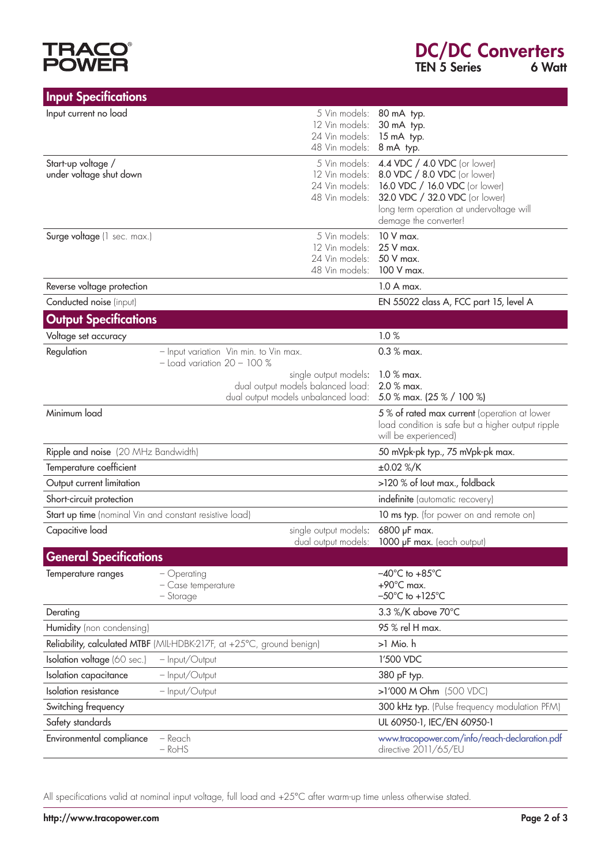# **TRACO®**<br>POWER

| <b>Input Specifications</b>                             |                                                                                                   |                                                                      |                                                                                                                                              |
|---------------------------------------------------------|---------------------------------------------------------------------------------------------------|----------------------------------------------------------------------|----------------------------------------------------------------------------------------------------------------------------------------------|
| Input current no load                                   | 12 Vin models:<br>24 Vin models:<br>48 Vin models:                                                | 5 Vin models: 80 mA typ.<br>30 mA typ.<br>15 mA typ.<br>8 mA typ.    |                                                                                                                                              |
| Start-up voltage /<br>under voltage shut down           | 5 Vin models:<br>24 Vin models:<br>48 Vin models:                                                 | 12 Vin models: 8.0 VDC / 8.0 VDC (or lower)<br>demage the converter! | 4.4 VDC / 4.0 VDC (or lower)<br>16.0 VDC / 16.0 VDC (or lower)<br>32.0 VDC / 32.0 VDC (or lower)<br>long term operation at undervoltage will |
| Surge voltage (1 sec. max.)                             | 5 Vin models:<br>12 Vin models:<br>24 Vin models:<br>48 Vin models:                               | 10 V max.<br>25 V max.<br>50 V max.<br>100 V max.                    |                                                                                                                                              |
| Reverse voltage protection                              |                                                                                                   | $1.0 A max$ .                                                        |                                                                                                                                              |
| Conducted noise (input)                                 |                                                                                                   |                                                                      | EN 55022 class A, FCC part 15, level A                                                                                                       |
| <b>Output Specifications</b>                            |                                                                                                   |                                                                      |                                                                                                                                              |
| Voltage set accuracy                                    |                                                                                                   | 1.0%                                                                 |                                                                                                                                              |
| Regulation                                              | - Input variation Vin min. to Vin max.<br>$-$ Load variation $20 - 100$ %                         | $0.3 %$ max.                                                         |                                                                                                                                              |
|                                                         | single output models:<br>dual output models balanced load:<br>dual output models unbalanced load: | $1.0 %$ max.<br>2.0 % max.<br>5.0 % max. (25 % / 100 %)              |                                                                                                                                              |
| Minimum load                                            |                                                                                                   | will be experienced)                                                 | 5% of rated max current (operation at lower<br>load condition is safe but a higher output ripple                                             |
| Ripple and noise (20 MHz Bandwidth)                     |                                                                                                   |                                                                      | 50 mVpk-pk typ., 75 mVpk-pk max.                                                                                                             |
| Temperature coefficient                                 |                                                                                                   | $\pm 0.02$ %/K                                                       |                                                                                                                                              |
| Output current limitation                               |                                                                                                   |                                                                      | >120 % of lout max., foldback                                                                                                                |
| Short-circuit protection                                |                                                                                                   |                                                                      | indefinite (automatic recovery)                                                                                                              |
| Start up time (nominal Vin and constant resistive load) |                                                                                                   |                                                                      | 10 ms typ. (for power on and remote on)                                                                                                      |
| Capacitive load                                         | single output models:<br>dual output models:                                                      | 6800 µF max.<br>1000 µF max. (each output)                           |                                                                                                                                              |
| <b>General Specifications</b>                           |                                                                                                   |                                                                      |                                                                                                                                              |
| Temperature ranges                                      | - Operating<br>- Case temperature<br>- Storage                                                    |                                                                      | $-40^{\circ}$ C to $+85^{\circ}$ C<br>$-50^{\circ}$ C to $+125^{\circ}$ C                                                                    |
| Derating                                                |                                                                                                   | 3.3 %/K above 70°C                                                   |                                                                                                                                              |
| Humidity (non condensing)                               |                                                                                                   | 95 % rel H max.                                                      |                                                                                                                                              |
|                                                         | Reliability, calculated MTBF (MIL-HDBK-217F, at +25°C, ground benign)                             | >1 Mio. h                                                            |                                                                                                                                              |
| Isolation voltage (60 sec.)                             | - Input/Output                                                                                    | 1'500 VDC                                                            |                                                                                                                                              |
| Isolation capacitance                                   | - Input/Output                                                                                    | 380 pF typ.                                                          |                                                                                                                                              |
| Isolation resistance                                    | - Input/Output                                                                                    | >1'000 M Ohm (500 VDC)                                               |                                                                                                                                              |
| Switching frequency                                     |                                                                                                   |                                                                      | 300 kHz typ. (Pulse frequency modulation PFM)                                                                                                |
| Safety standards                                        |                                                                                                   | UL 60950-1, IEC/EN 60950-1                                           |                                                                                                                                              |
| Environmental compliance                                | – Reach<br>$-RoHS$                                                                                | directive 2011/65/EU                                                 | www.tracopower.com/info/reach-declaration.pdf                                                                                                |

All specifications valid at nominal input voltage, full load and +25°C after warm-up time unless otherwise stated.